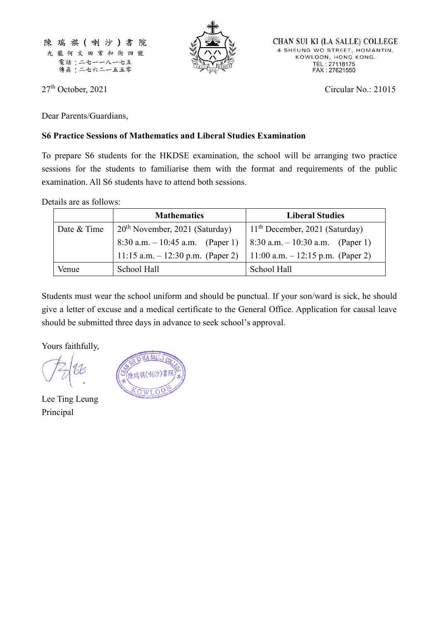



CHAN SUI KI (LA SALLE) COLLEGE 4 SHEUNG WO STREET, HOMANTIN, KOWLOON, HONG KONG. TEL: 27118175<br>FAX: 27621550

27<sup>th</sup> October, 2021 Circular No.: 21015

Dear Parents/Guardians,

## **S6 Practice Sessions of Mathematics and Liberal Studies Examination**

To prepare S6 students for the HKDSE examination, the school will be arranging two practice sessions for the students to familiarise them with the format and requirements of the public examination. All S6 students have to attend both sessions.

Details are as follows:

|             | <b>Mathematics</b>                 | <b>Liberal Studies</b>                 |
|-------------|------------------------------------|----------------------------------------|
| Date & Time | $20th$ November, 2021 (Saturday)   | $11th$ December, 2021 (Saturday)       |
|             | 8:30 a.m. $-10:45$ a.m. (Paper 1)  | $  8:30$ a.m. $- 10:30$ a.m. (Paper 1) |
|             | 11:15 a.m. $-12:30$ p.m. (Paper 2) | 11:00 a.m. $-12:15$ p.m. (Paper 2)     |
| Venue       | School Hall                        | School Hall                            |

Students must wear the school uniform and should be punctual. If your son/ward is sick, he should give a letter of excuse and a medical certificate to the General Office. Application for causal leave should be submitted three days in advance to seek school's approval.

Yours faithfully,

Lee Ting Leung Principal